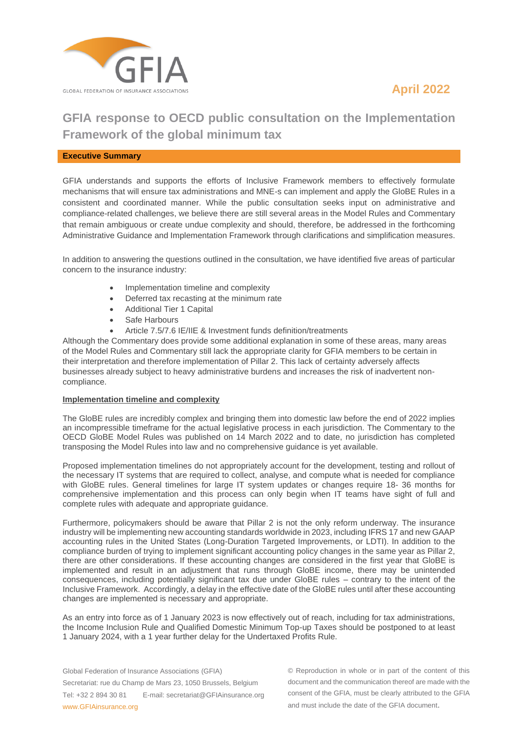



# **GFIA response to OECD public consultation on the Implementation Framework of the global minimum tax**

#### **Executive Summary**

GFIA understands and supports the efforts of Inclusive Framework members to effectively formulate mechanisms that will ensure tax administrations and MNE-s can implement and apply the GloBE Rules in a consistent and coordinated manner. While the public consultation seeks input on administrative and compliance-related challenges, we believe there are still several areas in the Model Rules and Commentary that remain ambiguous or create undue complexity and should, therefore, be addressed in the forthcoming Administrative Guidance and Implementation Framework through clarifications and simplification measures.

In addition to answering the questions outlined in the consultation, we have identified five areas of particular concern to the insurance industry:

- Implementation timeline and complexity
- Deferred tax recasting at the minimum rate
- Additional Tier 1 Capital
- Safe Harbours
- Article 7.5/7.6 IE/IIE & Investment funds definition/treatments

Although the Commentary does provide some additional explanation in some of these areas, many areas of the Model Rules and Commentary still lack the appropriate clarity for GFIA members to be certain in their interpretation and therefore implementation of Pillar 2. This lack of certainty adversely affects businesses already subject to heavy administrative burdens and increases the risk of inadvertent noncompliance.

#### **Implementation timeline and complexity**

The GloBE rules are incredibly complex and bringing them into domestic law before the end of 2022 implies an incompressible timeframe for the actual legislative process in each jurisdiction. The Commentary to the OECD GloBE Model Rules was published on 14 March 2022 and to date, no jurisdiction has completed transposing the Model Rules into law and no comprehensive guidance is yet available.

Proposed implementation timelines do not appropriately account for the development, testing and rollout of the necessary IT systems that are required to collect, analyse, and compute what is needed for compliance with GloBE rules. General timelines for large IT system updates or changes require 18- 36 months for comprehensive implementation and this process can only begin when IT teams have sight of full and complete rules with adequate and appropriate guidance.

Furthermore, policymakers should be aware that Pillar 2 is not the only reform underway. The insurance industry will be implementing new accounting standards worldwide in 2023, including IFRS 17 and new GAAP accounting rules in the United States (Long-Duration Targeted Improvements, or LDTI). In addition to the compliance burden of trying to implement significant accounting policy changes in the same year as Pillar 2, there are other considerations. If these accounting changes are considered in the first year that GloBE is implemented and result in an adjustment that runs through GloBE income, there may be unintended consequences, including potentially significant tax due under GloBE rules – contrary to the intent of the Inclusive Framework. Accordingly, a delay in the effective date of the GloBE rules until after these accounting changes are implemented is necessary and appropriate.

As an entry into force as of 1 January 2023 is now effectively out of reach, including for tax administrations, the Income Inclusion Rule and Qualified Domestic Minimum Top-up Taxes should be postponed to at least 1 January 2024, with a 1 year further delay for the Undertaxed Profits Rule.

Global Federation of Insurance Associations (GFIA) Secretariat: rue du Champ de Mars 23, 1050 Brussels, Belgium Tel: +32 2 894 30 81 E-mail: secretariat@GFIAinsurance.org www.GFIAinsurance.org

© Reproduction in whole or in part of the content of this document and the communication thereof are made with the consent of the GFIA, must be clearly attributed to the GFIA and must include the date of the GFIA document.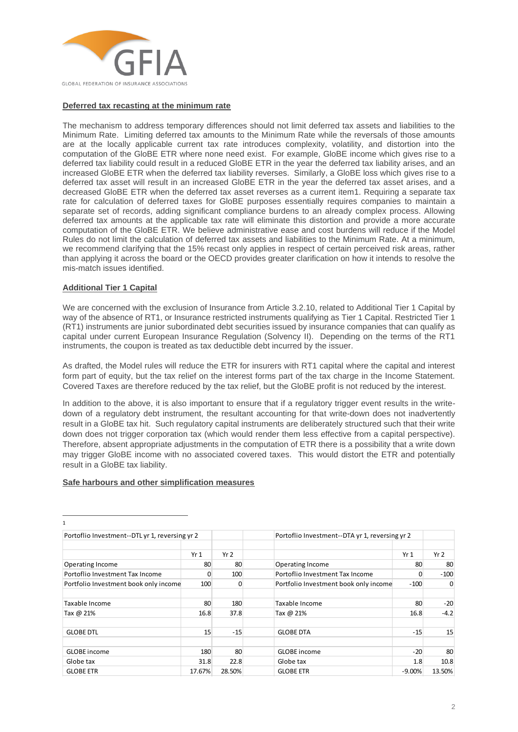

## **Deferred tax recasting at the minimum rate**

The mechanism to address temporary differences should not limit deferred tax assets and liabilities to the Minimum Rate. Limiting deferred tax amounts to the Minimum Rate while the reversals of those amounts are at the locally applicable current tax rate introduces complexity, volatility, and distortion into the computation of the GloBE ETR where none need exist. For example, GloBE income which gives rise to a deferred tax liability could result in a reduced GloBE ETR in the year the deferred tax liability arises, and an increased GloBE ETR when the deferred tax liability reverses. Similarly, a GloBE loss which gives rise to a deferred tax asset will result in an increased GloBE ETR in the year the deferred tax asset arises, and a decreased GloBE ETR when the deferred tax asset reverses as a current item1. Requiring a separate tax rate for calculation of deferred taxes for GloBE purposes essentially requires companies to maintain a separate set of records, adding significant compliance burdens to an already complex process. Allowing deferred tax amounts at the applicable tax rate will eliminate this distortion and provide a more accurate computation of the GloBE ETR. We believe administrative ease and cost burdens will reduce if the Model Rules do not limit the calculation of deferred tax assets and liabilities to the Minimum Rate. At a minimum, we recommend clarifying that the 15% recast only applies in respect of certain perceived risk areas, rather than applying it across the board or the OECD provides greater clarification on how it intends to resolve the mis-match issues identified.

### **Additional Tier 1 Capital**

We are concerned with the exclusion of Insurance from Article 3.2.10, related to Additional Tier 1 Capital by way of the absence of RT1, or Insurance restricted instruments qualifying as Tier 1 Capital. Restricted Tier 1 (RT1) instruments are junior subordinated debt securities issued by insurance companies that can qualify as capital under current European Insurance Regulation (Solvency II). Depending on the terms of the RT1 instruments, the coupon is treated as tax deductible debt incurred by the issuer.

As drafted, the Model rules will reduce the ETR for insurers with RT1 capital where the capital and interest form part of equity, but the tax relief on the interest forms part of the tax charge in the Income Statement. Covered Taxes are therefore reduced by the tax relief, but the GloBE profit is not reduced by the interest.

In addition to the above, it is also important to ensure that if a regulatory trigger event results in the writedown of a regulatory debt instrument, the resultant accounting for that write-down does not inadvertently result in a GloBE tax hit. Such regulatory capital instruments are deliberately structured such that their write down does not trigger corporation tax (which would render them less effective from a capital perspective). Therefore, absent appropriate adjustments in the computation of ETR there is a possibility that a write down may trigger GloBE income with no associated covered taxes. This would distort the ETR and potentially result in a GloBE tax liability.

# **Safe harbours and other simplification measures**

| Portoflio Investment--DTL yr 1, reversing yr 2 |        |                 | Portoflio Investment--DTA yr 1, reversing yr 2 |          |                 |
|------------------------------------------------|--------|-----------------|------------------------------------------------|----------|-----------------|
|                                                | Yr1    | Yr <sub>2</sub> |                                                | Yr1      | Yr <sub>2</sub> |
| Operating Income                               | 80     | 80              | Operating Income                               | 80       | 80              |
| Portoflio Investment Tax Income                | 0      | 100             | Portoflio Investment Tax Income                | 0        | $-100$          |
| Portfolio Investment book only income          | 100    | $\Omega$        | Portfolio Investment book only income          | $-100$   | 0               |
| Taxable Income                                 | 80     | 180             | Taxable Income                                 | 80       | $-20$           |
| Tax @ 21%                                      | 16.8   | 37.8            | Tax @ 21%                                      | 16.8     | $-4.2$          |
| <b>GLOBE DTL</b>                               | 15     | $-15$           | <b>GLOBE DTA</b>                               | $-15$    | 15              |
| <b>GLOBE</b> income                            | 180    | 80              | <b>GLOBE</b> income                            | $-20$    | 80              |
| Globe tax                                      | 31.8   | 22.8            | Globe tax                                      | 1.8      | 10.8            |
| <b>GLOBE ETR</b>                               | 17.67% | 28.50%          | <b>GLOBE ETR</b>                               | $-9.00%$ | 13.50%          |

1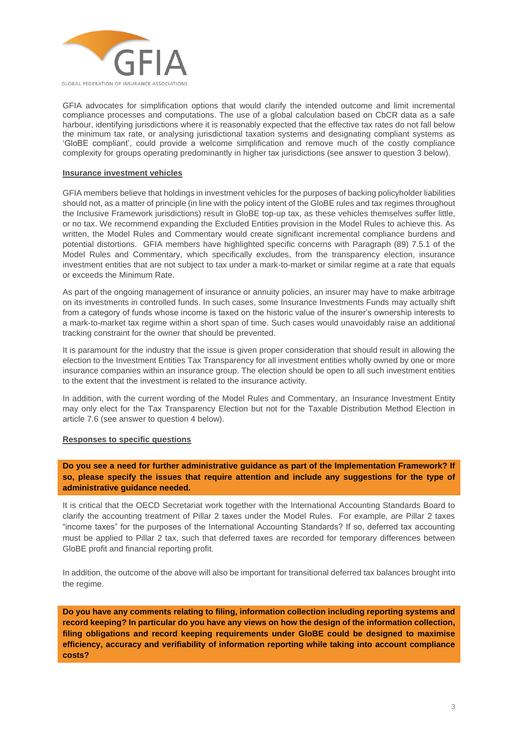

GFIA advocates for simplification options that would clarify the intended outcome and limit incremental compliance processes and computations. The use of a global calculation based on CbCR data as a safe harbour, identifying jurisdictions where it is reasonably expected that the effective tax rates do not fall below the minimum tax rate, or analysing jurisdictional taxation systems and designating compliant systems as 'GloBE compliant', could provide a welcome simplification and remove much of the costly compliance complexity for groups operating predominantly in higher tax jurisdictions (see answer to question 3 below).

#### **Insurance investment vehicles**

GFIA members believe that holdings in investment vehicles for the purposes of backing policyholder liabilities should not, as a matter of principle (in line with the policy intent of the GloBE rules and tax regimes throughout the Inclusive Framework jurisdictions) result in GloBE top-up tax, as these vehicles themselves suffer little, or no tax. We recommend expanding the Excluded Entities provision in the Model Rules to achieve this. As written, the Model Rules and Commentary would create significant incremental compliance burdens and potential distortions. GFIA members have highlighted specific concerns with Paragraph (89) 7.5.1 of the Model Rules and Commentary, which specifically excludes, from the transparency election, insurance investment entities that are not subject to tax under a mark-to-market or similar regime at a rate that equals or exceeds the Minimum Rate.

As part of the ongoing management of insurance or annuity policies, an insurer may have to make arbitrage on its investments in controlled funds. In such cases, some Insurance Investments Funds may actually shift from a category of funds whose income is taxed on the historic value of the insurer's ownership interests to a mark-to-market tax regime within a short span of time. Such cases would unavoidably raise an additional tracking constraint for the owner that should be prevented.

It is paramount for the industry that the issue is given proper consideration that should result in allowing the election to the Investment Entities Tax Transparency for all investment entities wholly owned by one or more insurance companies within an insurance group. The election should be open to all such investment entities to the extent that the investment is related to the insurance activity.

In addition, with the current wording of the Model Rules and Commentary, an Insurance Investment Entity may only elect for the Tax Transparency Election but not for the Taxable Distribution Method Election in article 7.6 (see answer to question 4 below).

### **Responses to specific questions**

**Do you see a need for further administrative guidance as part of the Implementation Framework? If so, please specify the issues that require attention and include any suggestions for the type of administrative guidance needed.**

It is critical that the OECD Secretariat work together with the International Accounting Standards Board to clarify the accounting treatment of Pillar 2 taxes under the Model Rules. For example, are Pillar 2 taxes "income taxes" for the purposes of the International Accounting Standards? If so, deferred tax accounting must be applied to Pillar 2 tax, such that deferred taxes are recorded for temporary differences between GloBE profit and financial reporting profit.

In addition, the outcome of the above will also be important for transitional deferred tax balances brought into the regime.

**Do you have any comments relating to filing, information collection including reporting systems and record keeping? In particular do you have any views on how the design of the information collection, filing obligations and record keeping requirements under GloBE could be designed to maximise efficiency, accuracy and verifiability of information reporting while taking into account compliance costs?**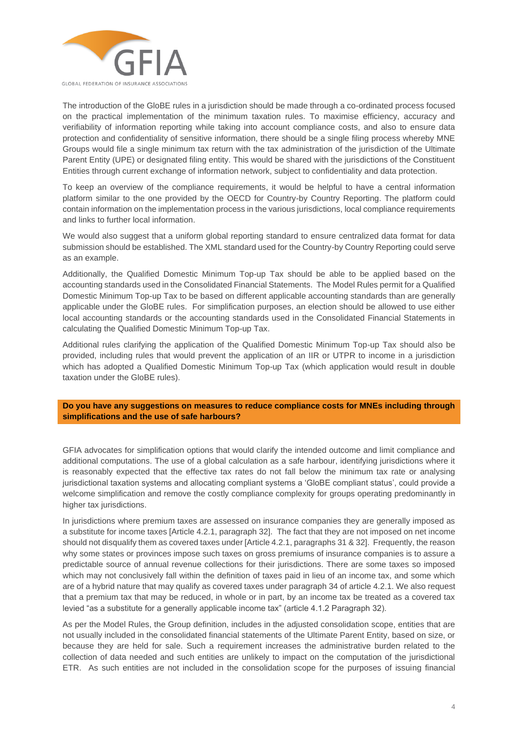

The introduction of the GloBE rules in a jurisdiction should be made through a co-ordinated process focused on the practical implementation of the minimum taxation rules. To maximise efficiency, accuracy and verifiability of information reporting while taking into account compliance costs, and also to ensure data protection and confidentiality of sensitive information, there should be a single filing process whereby MNE Groups would file a single minimum tax return with the tax administration of the jurisdiction of the Ultimate Parent Entity (UPE) or designated filing entity. This would be shared with the jurisdictions of the Constituent Entities through current exchange of information network, subject to confidentiality and data protection.

To keep an overview of the compliance requirements, it would be helpful to have a central information platform similar to the one provided by the OECD for Country-by Country Reporting. The platform could contain information on the implementation process in the various jurisdictions, local compliance requirements and links to further local information.

We would also suggest that a uniform global reporting standard to ensure centralized data format for data submission should be established. The XML standard used for the Country-by Country Reporting could serve as an example.

Additionally, the Qualified Domestic Minimum Top-up Tax should be able to be applied based on the accounting standards used in the Consolidated Financial Statements. The Model Rules permit for a Qualified Domestic Minimum Top-up Tax to be based on different applicable accounting standards than are generally applicable under the GloBE rules. For simplification purposes, an election should be allowed to use either local accounting standards or the accounting standards used in the Consolidated Financial Statements in calculating the Qualified Domestic Minimum Top-up Tax.

Additional rules clarifying the application of the Qualified Domestic Minimum Top-up Tax should also be provided, including rules that would prevent the application of an IIR or UTPR to income in a jurisdiction which has adopted a Qualified Domestic Minimum Top-up Tax (which application would result in double taxation under the GloBE rules).

**Do you have any suggestions on measures to reduce compliance costs for MNEs including through simplifications and the use of safe harbours?** 

GFIA advocates for simplification options that would clarify the intended outcome and limit compliance and additional computations. The use of a global calculation as a safe harbour, identifying jurisdictions where it is reasonably expected that the effective tax rates do not fall below the minimum tax rate or analysing jurisdictional taxation systems and allocating compliant systems a 'GloBE compliant status', could provide a welcome simplification and remove the costly compliance complexity for groups operating predominantly in higher tax jurisdictions.

In jurisdictions where premium taxes are assessed on insurance companies they are generally imposed as a substitute for income taxes [Article 4.2.1, paragraph 32]. The fact that they are not imposed on net income should not disqualify them as covered taxes under [Article 4.2.1, paragraphs 31 & 32]. Frequently, the reason why some states or provinces impose such taxes on gross premiums of insurance companies is to assure a predictable source of annual revenue collections for their jurisdictions. There are some taxes so imposed which may not conclusively fall within the definition of taxes paid in lieu of an income tax, and some which are of a hybrid nature that may qualify as covered taxes under paragraph 34 of article 4.2.1. We also request that a premium tax that may be reduced, in whole or in part, by an income tax be treated as a covered tax levied "as a substitute for a generally applicable income tax" (article 4.1.2 Paragraph 32).

As per the Model Rules, the Group definition, includes in the adjusted consolidation scope, entities that are not usually included in the consolidated financial statements of the Ultimate Parent Entity, based on size, or because they are held for sale. Such a requirement increases the administrative burden related to the collection of data needed and such entities are unlikely to impact on the computation of the jurisdictional ETR. As such entities are not included in the consolidation scope for the purposes of issuing financial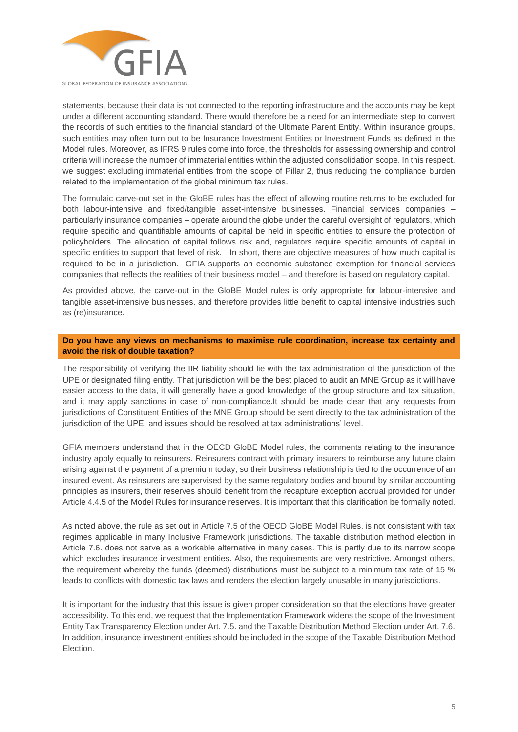

statements, because their data is not connected to the reporting infrastructure and the accounts may be kept under a different accounting standard. There would therefore be a need for an intermediate step to convert the records of such entities to the financial standard of the Ultimate Parent Entity. Within insurance groups, such entities may often turn out to be Insurance Investment Entities or Investment Funds as defined in the Model rules. Moreover, as IFRS 9 rules come into force, the thresholds for assessing ownership and control criteria will increase the number of immaterial entities within the adjusted consolidation scope. In this respect, we suggest excluding immaterial entities from the scope of Pillar 2, thus reducing the compliance burden related to the implementation of the global minimum tax rules.

The formulaic carve-out set in the GloBE rules has the effect of allowing routine returns to be excluded for both labour-intensive and fixed/tangible asset-intensive businesses. Financial services companies – particularly insurance companies – operate around the globe under the careful oversight of regulators, which require specific and quantifiable amounts of capital be held in specific entities to ensure the protection of policyholders. The allocation of capital follows risk and, regulators require specific amounts of capital in specific entities to support that level of risk. In short, there are objective measures of how much capital is required to be in a jurisdiction. GFIA supports an economic substance exemption for financial services companies that reflects the realities of their business model – and therefore is based on regulatory capital.

As provided above, the carve-out in the GloBE Model rules is only appropriate for labour-intensive and tangible asset-intensive businesses, and therefore provides little benefit to capital intensive industries such as (re)insurance.

### **Do you have any views on mechanisms to maximise rule coordination, increase tax certainty and avoid the risk of double taxation?**

The responsibility of verifying the IIR liability should lie with the tax administration of the jurisdiction of the UPE or designated filing entity. That jurisdiction will be the best placed to audit an MNE Group as it will have easier access to the data, it will generally have a good knowledge of the group structure and tax situation, and it may apply sanctions in case of non-compliance.It should be made clear that any requests from jurisdictions of Constituent Entities of the MNE Group should be sent directly to the tax administration of the jurisdiction of the UPE, and issues should be resolved at tax administrations' level.

GFIA members understand that in the OECD GloBE Model rules, the comments relating to the insurance industry apply equally to reinsurers. Reinsurers contract with primary insurers to reimburse any future claim arising against the payment of a premium today, so their business relationship is tied to the occurrence of an insured event. As reinsurers are supervised by the same regulatory bodies and bound by similar accounting principles as insurers, their reserves should benefit from the recapture exception accrual provided for under Article 4.4.5 of the Model Rules for insurance reserves. It is important that this clarification be formally noted.

As noted above, the rule as set out in Article 7.5 of the OECD GloBE Model Rules, is not consistent with tax regimes applicable in many Inclusive Framework jurisdictions. The taxable distribution method election in Article 7.6. does not serve as a workable alternative in many cases. This is partly due to its narrow scope which excludes insurance investment entities. Also, the requirements are very restrictive. Amongst others, the requirement whereby the funds (deemed) distributions must be subject to a minimum tax rate of 15 % leads to conflicts with domestic tax laws and renders the election largely unusable in many jurisdictions.

It is important for the industry that this issue is given proper consideration so that the elections have greater accessibility. To this end, we request that the Implementation Framework widens the scope of the Investment Entity Tax Transparency Election under Art. 7.5. and the Taxable Distribution Method Election under Art. 7.6. In addition, insurance investment entities should be included in the scope of the Taxable Distribution Method Election.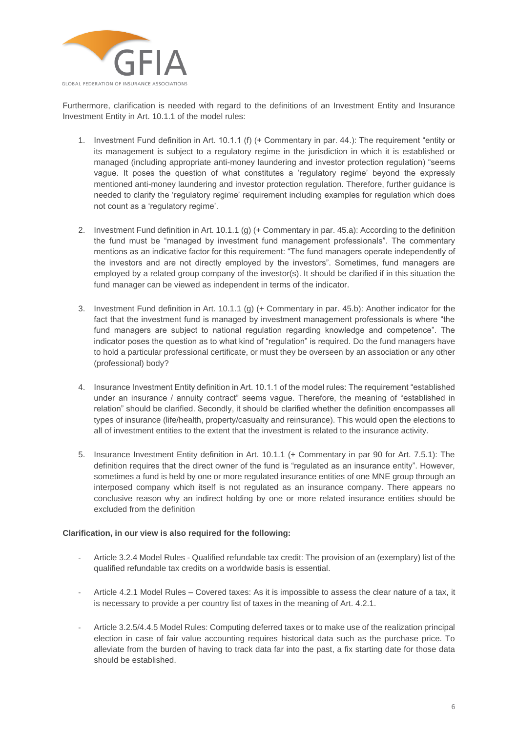

Furthermore, clarification is needed with regard to the definitions of an Investment Entity and Insurance Investment Entity in Art. 10.1.1 of the model rules:

- 1. Investment Fund definition in Art. 10.1.1 (f) (+ Commentary in par. 44.): The requirement "entity or its management is subject to a regulatory regime in the jurisdiction in which it is established or managed (including appropriate anti-money laundering and investor protection regulation) "seems vague. It poses the question of what constitutes a 'regulatory regime' beyond the expressly mentioned anti-money laundering and investor protection regulation. Therefore, further guidance is needed to clarify the 'regulatory regime' requirement including examples for regulation which does not count as a 'regulatory regime'.
- 2. Investment Fund definition in Art. 10.1.1 (g) (+ Commentary in par. 45.a): According to the definition the fund must be "managed by investment fund management professionals". The commentary mentions as an indicative factor for this requirement: "The fund managers operate independently of the investors and are not directly employed by the investors". Sometimes, fund managers are employed by a related group company of the investor(s). It should be clarified if in this situation the fund manager can be viewed as independent in terms of the indicator.
- 3. Investment Fund definition in Art. 10.1.1 (g) (+ Commentary in par. 45.b): Another indicator for the fact that the investment fund is managed by investment management professionals is where "the fund managers are subject to national regulation regarding knowledge and competence". The indicator poses the question as to what kind of "regulation" is required. Do the fund managers have to hold a particular professional certificate, or must they be overseen by an association or any other (professional) body?
- 4. Insurance Investment Entity definition in Art. 10.1.1 of the model rules: The requirement "established under an insurance / annuity contract" seems vague. Therefore, the meaning of "established in relation" should be clarified. Secondly, it should be clarified whether the definition encompasses all types of insurance (life/health, property/casualty and reinsurance). This would open the elections to all of investment entities to the extent that the investment is related to the insurance activity.
- 5. Insurance Investment Entity definition in Art. 10.1.1 (+ Commentary in par 90 for Art. 7.5.1): The definition requires that the direct owner of the fund is "regulated as an insurance entity". However, sometimes a fund is held by one or more regulated insurance entities of one MNE group through an interposed company which itself is not regulated as an insurance company. There appears no conclusive reason why an indirect holding by one or more related insurance entities should be excluded from the definition

### **Clarification, in our view is also required for the following:**

- Article 3.2.4 Model Rules Qualified refundable tax credit: The provision of an (exemplary) list of the qualified refundable tax credits on a worldwide basis is essential.
- Article 4.2.1 Model Rules Covered taxes: As it is impossible to assess the clear nature of a tax, it is necessary to provide a per country list of taxes in the meaning of Art. 4.2.1.
- Article 3.2.5/4.4.5 Model Rules: Computing deferred taxes or to make use of the realization principal election in case of fair value accounting requires historical data such as the purchase price. To alleviate from the burden of having to track data far into the past, a fix starting date for those data should be established.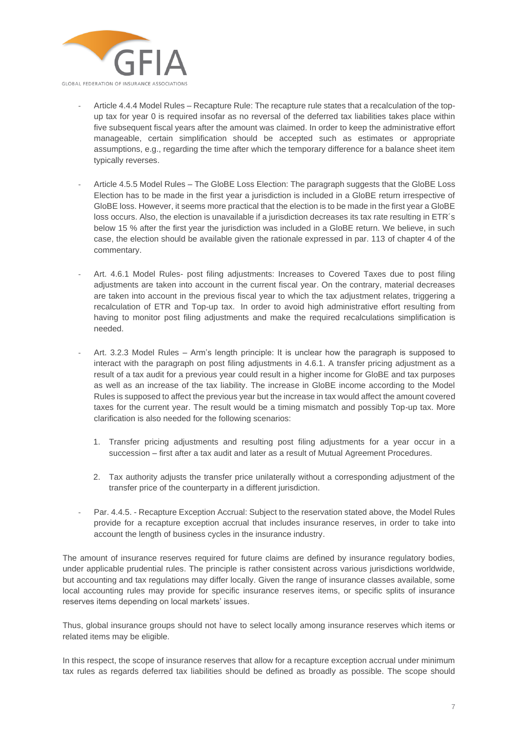

- Article 4.4.4 Model Rules Recapture Rule: The recapture rule states that a recalculation of the topup tax for year 0 is required insofar as no reversal of the deferred tax liabilities takes place within five subsequent fiscal years after the amount was claimed. In order to keep the administrative effort manageable, certain simplification should be accepted such as estimates or appropriate assumptions, e.g., regarding the time after which the temporary difference for a balance sheet item typically reverses.
- Article 4.5.5 Model Rules The GloBE Loss Election: The paragraph suggests that the GloBE Loss Election has to be made in the first year a jurisdiction is included in a GloBE return irrespective of GloBE loss. However, it seems more practical that the election is to be made in the first year a GloBE loss occurs. Also, the election is unavailable if a jurisdiction decreases its tax rate resulting in ETR's below 15 % after the first year the jurisdiction was included in a GloBE return. We believe, in such case, the election should be available given the rationale expressed in par. 113 of chapter 4 of the commentary.
- Art. 4.6.1 Model Rules- post filing adjustments: Increases to Covered Taxes due to post filing adjustments are taken into account in the current fiscal year. On the contrary, material decreases are taken into account in the previous fiscal year to which the tax adjustment relates, triggering a recalculation of ETR and Top-up tax. In order to avoid high administrative effort resulting from having to monitor post filing adjustments and make the required recalculations simplification is needed.
- Art. 3.2.3 Model Rules Arm's length principle: It is unclear how the paragraph is supposed to interact with the paragraph on post filing adjustments in 4.6.1. A transfer pricing adjustment as a result of a tax audit for a previous year could result in a higher income for GloBE and tax purposes as well as an increase of the tax liability. The increase in GloBE income according to the Model Rules is supposed to affect the previous year but the increase in tax would affect the amount covered taxes for the current year. The result would be a timing mismatch and possibly Top-up tax. More clarification is also needed for the following scenarios:
	- 1. Transfer pricing adjustments and resulting post filing adjustments for a year occur in a succession – first after a tax audit and later as a result of Mutual Agreement Procedures.
	- 2. Tax authority adjusts the transfer price unilaterally without a corresponding adjustment of the transfer price of the counterparty in a different jurisdiction.
- Par. 4.4.5. Recapture Exception Accrual: Subject to the reservation stated above, the Model Rules provide for a recapture exception accrual that includes insurance reserves, in order to take into account the length of business cycles in the insurance industry.

The amount of insurance reserves required for future claims are defined by insurance requiatory bodies, under applicable prudential rules. The principle is rather consistent across various jurisdictions worldwide, but accounting and tax regulations may differ locally. Given the range of insurance classes available, some local accounting rules may provide for specific insurance reserves items, or specific splits of insurance reserves items depending on local markets' issues.

Thus, global insurance groups should not have to select locally among insurance reserves which items or related items may be eligible.

In this respect, the scope of insurance reserves that allow for a recapture exception accrual under minimum tax rules as regards deferred tax liabilities should be defined as broadly as possible. The scope should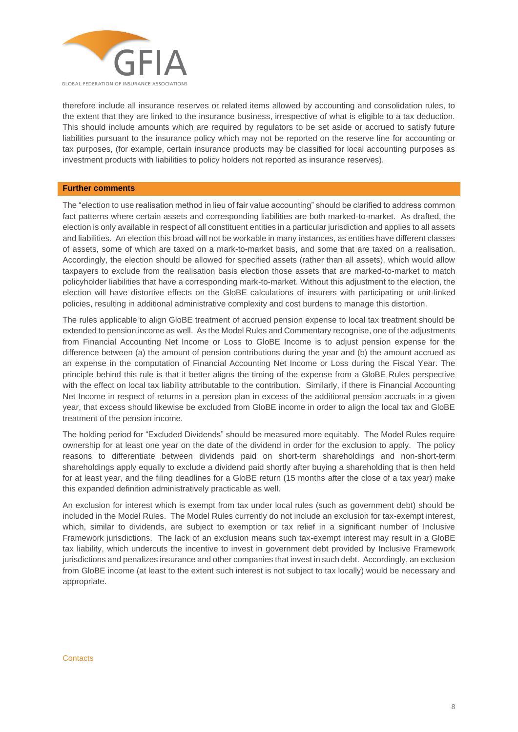

therefore include all insurance reserves or related items allowed by accounting and consolidation rules, to the extent that they are linked to the insurance business, irrespective of what is eligible to a tax deduction. This should include amounts which are required by regulators to be set aside or accrued to satisfy future liabilities pursuant to the insurance policy which may not be reported on the reserve line for accounting or tax purposes, (for example, certain insurance products may be classified for local accounting purposes as investment products with liabilities to policy holders not reported as insurance reserves).

### **Further comments**

The "election to use realisation method in lieu of fair value accounting" should be clarified to address common fact patterns where certain assets and corresponding liabilities are both marked-to-market. As drafted, the election is only available in respect of all constituent entities in a particular jurisdiction and applies to all assets and liabilities. An election this broad will not be workable in many instances, as entities have different classes of assets, some of which are taxed on a mark-to-market basis, and some that are taxed on a realisation. Accordingly, the election should be allowed for specified assets (rather than all assets), which would allow taxpayers to exclude from the realisation basis election those assets that are marked-to-market to match policyholder liabilities that have a corresponding mark-to-market. Without this adjustment to the election, the election will have distortive effects on the GloBE calculations of insurers with participating or unit-linked policies, resulting in additional administrative complexity and cost burdens to manage this distortion.

The rules applicable to align GloBE treatment of accrued pension expense to local tax treatment should be extended to pension income as well. As the Model Rules and Commentary recognise, one of the adjustments from Financial Accounting Net Income or Loss to GloBE Income is to adjust pension expense for the difference between (a) the amount of pension contributions during the year and (b) the amount accrued as an expense in the computation of Financial Accounting Net Income or Loss during the Fiscal Year. The principle behind this rule is that it better aligns the timing of the expense from a GloBE Rules perspective with the effect on local tax liability attributable to the contribution. Similarly, if there is Financial Accounting Net Income in respect of returns in a pension plan in excess of the additional pension accruals in a given year, that excess should likewise be excluded from GloBE income in order to align the local tax and GloBE treatment of the pension income.

The holding period for "Excluded Dividends" should be measured more equitably. The Model Rules require ownership for at least one year on the date of the dividend in order for the exclusion to apply. The policy reasons to differentiate between dividends paid on short-term shareholdings and non-short-term shareholdings apply equally to exclude a dividend paid shortly after buying a shareholding that is then held for at least year, and the filing deadlines for a GloBE return (15 months after the close of a tax year) make this expanded definition administratively practicable as well.

An exclusion for interest which is exempt from tax under local rules (such as government debt) should be included in the Model Rules. The Model Rules currently do not include an exclusion for tax-exempt interest, which, similar to dividends, are subject to exemption or tax relief in a significant number of Inclusive Framework jurisdictions. The lack of an exclusion means such tax-exempt interest may result in a GloBE tax liability, which undercuts the incentive to invest in government debt provided by Inclusive Framework jurisdictions and penalizes insurance and other companies that invest in such debt. Accordingly, an exclusion from GloBE income (at least to the extent such interest is not subject to tax locally) would be necessary and appropriate.